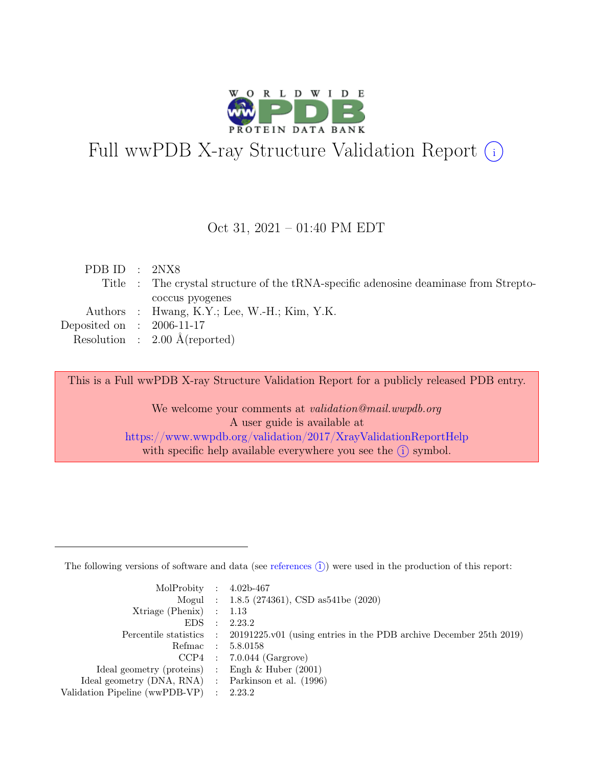

# Full wwPDB X-ray Structure Validation Report  $(i)$

#### Oct 31, 2021 – 01:40 PM EDT

| PDB ID : $2NX8$                                                                      |  |
|--------------------------------------------------------------------------------------|--|
| Title : The crystal structure of the tRNA-specific adenosine deaminase from Strepto- |  |
| coccus pyogenes                                                                      |  |
| Authors : Hwang, K.Y.; Lee, W.-H.; Kim, Y.K.                                         |  |
| Deposited on : $2006-11-17$                                                          |  |
| Resolution : $2.00 \text{ Å}$ (reported)                                             |  |

This is a Full wwPDB X-ray Structure Validation Report for a publicly released PDB entry.

We welcome your comments at *validation@mail.wwpdb.org* A user guide is available at <https://www.wwpdb.org/validation/2017/XrayValidationReportHelp> with specific help available everywhere you see the  $(i)$  symbol.

The following versions of software and data (see [references](https://www.wwpdb.org/validation/2017/XrayValidationReportHelp#references)  $(i)$ ) were used in the production of this report:

| MolProbity : $4.02b-467$                            |                                                                                            |
|-----------------------------------------------------|--------------------------------------------------------------------------------------------|
|                                                     | Mogul : 1.8.5 (274361), CSD as 541be (2020)                                                |
| Xtriage (Phenix) $: 1.13$                           |                                                                                            |
| $EDS$ :                                             | 2.23.2                                                                                     |
|                                                     | Percentile statistics : 20191225.v01 (using entries in the PDB archive December 25th 2019) |
| Refmac : 5.8.0158                                   |                                                                                            |
|                                                     | $CCP4$ : 7.0.044 (Gargrove)                                                                |
| Ideal geometry (proteins) : Engh $\&$ Huber (2001)  |                                                                                            |
| Ideal geometry (DNA, RNA) : Parkinson et al. (1996) |                                                                                            |
| Validation Pipeline (wwPDB-VP) : 2.23.2             |                                                                                            |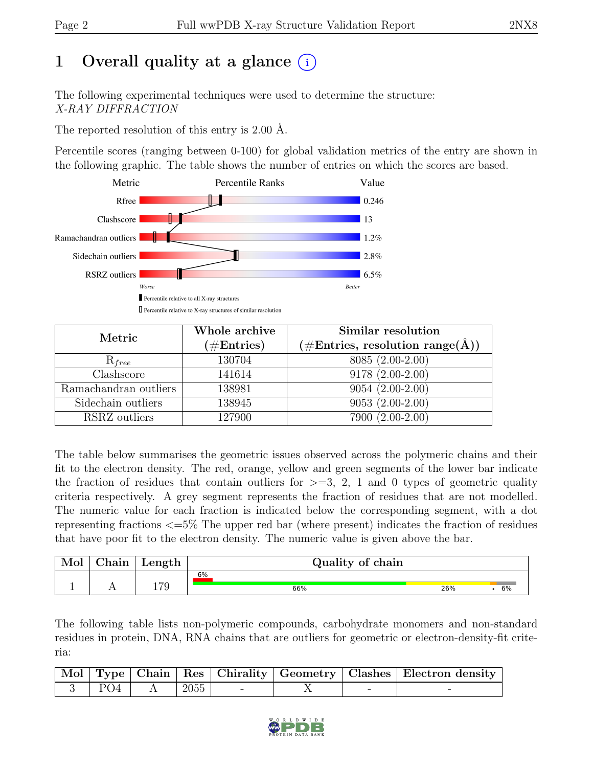# 1 Overall quality at a glance  $(i)$

The following experimental techniques were used to determine the structure: X-RAY DIFFRACTION

The reported resolution of this entry is 2.00 Å.

Percentile scores (ranging between 0-100) for global validation metrics of the entry are shown in the following graphic. The table shows the number of entries on which the scores are based.



| Metric                | Whole archive<br>$(\# \text{Entries})$ | Similar resolution<br>$(\# \text{Entries}, \text{ resolution } \text{range}(\AA))$ |
|-----------------------|----------------------------------------|------------------------------------------------------------------------------------|
| $R_{free}$            | 130704                                 | 8085 (2.00-2.00)                                                                   |
| Clashscore            | 141614                                 | $9178(2.00-2.00)$                                                                  |
| Ramachandran outliers | 138981                                 | $9054(2.00-2.00)$                                                                  |
| Sidechain outliers    | 138945                                 | $9053(2.00-2.00)$                                                                  |
| RSRZ outliers         | 127900                                 | 7900 (2.00-2.00)                                                                   |

The table below summarises the geometric issues observed across the polymeric chains and their fit to the electron density. The red, orange, yellow and green segments of the lower bar indicate the fraction of residues that contain outliers for  $\geq$ =3, 2, 1 and 0 types of geometric quality criteria respectively. A grey segment represents the fraction of residues that are not modelled. The numeric value for each fraction is indicated below the corresponding segment, with a dot representing fractions <=5% The upper red bar (where present) indicates the fraction of residues that have poor fit to the electron density. The numeric value is given above the bar.

| Mol | $\gamma$ hain | Length | Quality of chain |     |    |
|-----|---------------|--------|------------------|-----|----|
|     |               |        | 6%               |     |    |
|     |               | 70     | 66%              | 26% | 6% |

The following table lists non-polymeric compounds, carbohydrate monomers and non-standard residues in protein, DNA, RNA chains that are outliers for geometric or electron-density-fit criteria:

|  |  |  | Mol Type   Chain   Res   Chirality   Geometry   Clashes   Electron density |
|--|--|--|----------------------------------------------------------------------------|
|  |  |  |                                                                            |

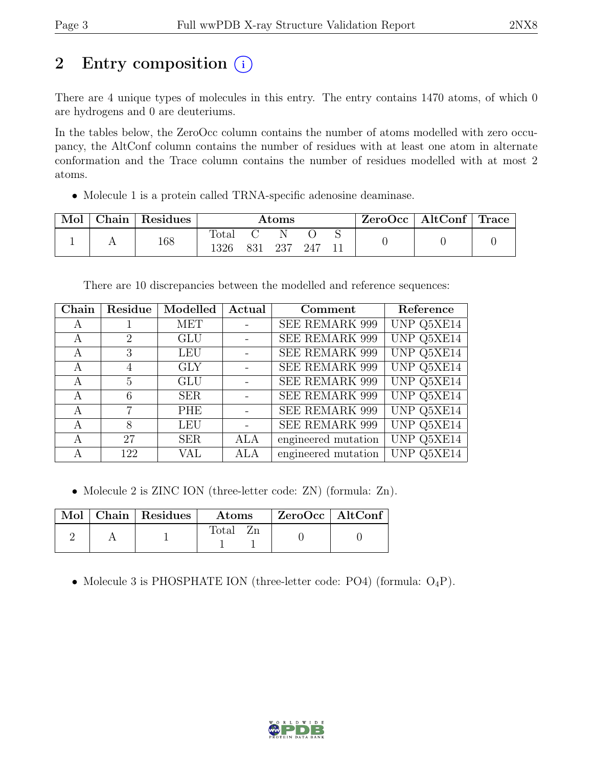# 2 Entry composition  $(i)$

There are 4 unique types of molecules in this entry. The entry contains 1470 atoms, of which 0 are hydrogens and 0 are deuteriums.

In the tables below, the ZeroOcc column contains the number of atoms modelled with zero occupancy, the AltConf column contains the number of residues with at least one atom in alternate conformation and the Trace column contains the number of residues modelled with at most 2 atoms.

• Molecule 1 is a protein called TRNA-specific adenosine deaminase.

| Mol | $\mid$ Chain $\mid$ Residues | $\rm{Atoms}$  |     |     |     | $\text{ZeroOcc}$   AltConf   Trace |  |  |
|-----|------------------------------|---------------|-----|-----|-----|------------------------------------|--|--|
|     | 168                          | Total<br>1326 | 831 | 237 | 247 |                                    |  |  |

There are 10 discrepancies between the modelled and reference sequences:

| Chain | Residue        | Modelled   | Actual     | Comment               | Reference         |
|-------|----------------|------------|------------|-----------------------|-------------------|
| A     |                | MET        |            | <b>SEE REMARK 999</b> | UNP Q5XE14        |
| A     | $\overline{2}$ | <b>GLU</b> |            | <b>SEE REMARK 999</b> | <b>UNP Q5XE14</b> |
| A     | 3              | <b>LEU</b> |            | SEE REMARK 999        | UNP Q5XE14        |
| A     |                | <b>GLY</b> |            | <b>SEE REMARK 999</b> | UNP Q5XE14        |
| А     | 5              | <b>GLU</b> |            | SEE REMARK 999        | UNP Q5XE14        |
| A     | 6              | <b>SER</b> |            | <b>SEE REMARK 999</b> | UNP Q5XE14        |
| A     | 7              | <b>PHE</b> |            | <b>SEE REMARK 999</b> | UNP Q5XE14        |
| A     | 8              | <b>LEU</b> |            | <b>SEE REMARK 999</b> | UNP Q5XE14        |
| A     | 27             | <b>SER</b> | <b>ALA</b> | engineered mutation   | UNP Q5XE14        |
|       | 122            | VAL        | <b>ALA</b> | engineered mutation   | UNP Q5XE14        |

• Molecule 2 is ZINC ION (three-letter code: ZN) (formula: Zn).

|  | Mol   Chain   Residues | $\boldsymbol{\mathrm{Atoms}}$ |  | $ZeroOcc \mid AltConf \mid$ |
|--|------------------------|-------------------------------|--|-----------------------------|
|  |                        | Total                         |  |                             |

• Molecule 3 is PHOSPHATE ION (three-letter code: PO4) (formula:  $O_4P$ ).

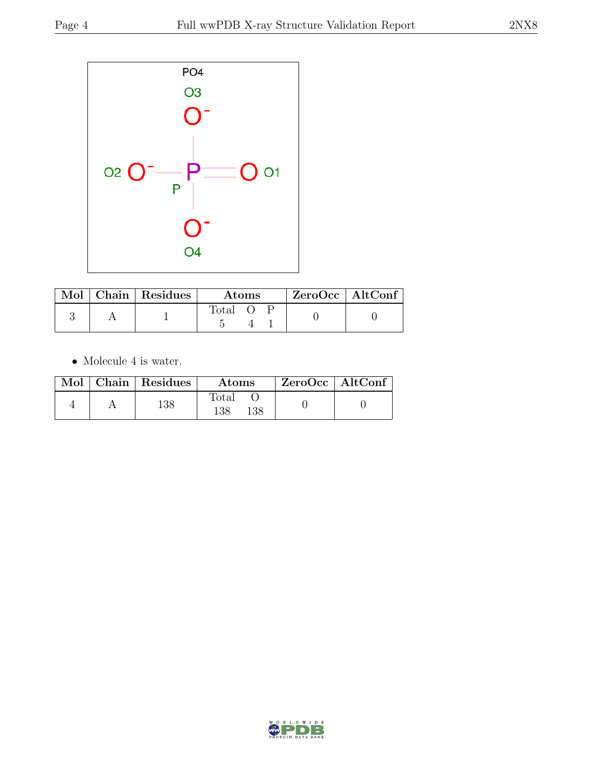

|  | $\blacksquare$ Mol $\vert$ Chain $\vert$ Residues $\vert$ | <b>Atoms</b> |  |  | $ZeroOcc$   AltConf |
|--|-----------------------------------------------------------|--------------|--|--|---------------------|
|  |                                                           | <b>Total</b> |  |  |                     |

 $\bullet\,$  Molecule 4 is water.

|  | Mol   Chain   Residues | Atoms               | ZeroOcc   AltConf |  |
|--|------------------------|---------------------|-------------------|--|
|  | 138                    | Total<br>138<br>138 |                   |  |

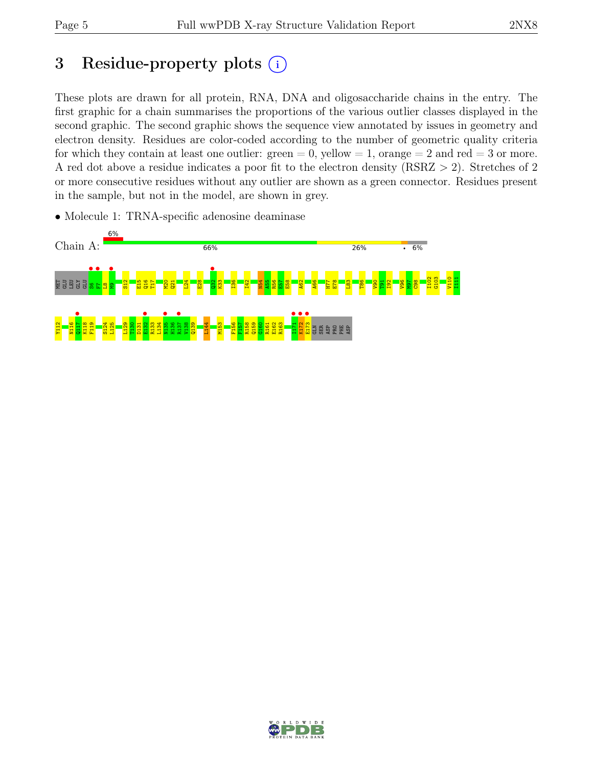# 3 Residue-property plots  $(i)$

These plots are drawn for all protein, RNA, DNA and oligosaccharide chains in the entry. The first graphic for a chain summarises the proportions of the various outlier classes displayed in the second graphic. The second graphic shows the sequence view annotated by issues in geometry and electron density. Residues are color-coded according to the number of geometric quality criteria for which they contain at least one outlier:  $green = 0$ , yellow  $= 1$ , orange  $= 2$  and red  $= 3$  or more. A red dot above a residue indicates a poor fit to the electron density (RSRZ > 2). Stretches of 2 or more consecutive residues without any outlier are shown as a green connector. Residues present in the sample, but not in the model, are shown in grey.

• Molecule 1: TRNA-specific adenosine deaminase



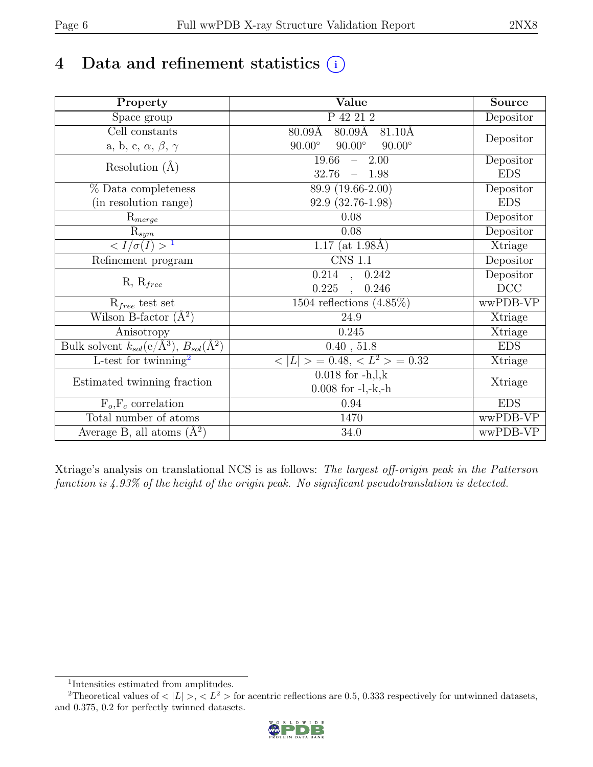# 4 Data and refinement statistics  $(i)$

| Property                                                          | Value                                                    | <b>Source</b> |
|-------------------------------------------------------------------|----------------------------------------------------------|---------------|
| Space group                                                       | P 42 21 2                                                | Depositor     |
| $\overline{\text{Cell}}$ constants                                | 80.09Å<br>81.10Å<br>80.09Å                               |               |
| a, b, c, $\alpha$ , $\beta$ , $\gamma$                            | $90.00^\circ$<br>$90.00^\circ$<br>$90.00^\circ$          | Depositor     |
| Resolution $(\AA)$                                                | 19.66<br>2.00<br>$\equiv$ .                              | Depositor     |
|                                                                   | 32.76<br>$-1.98$                                         | <b>EDS</b>    |
| % Data completeness                                               | 89.9 (19.66-2.00)                                        | Depositor     |
| (in resolution range)                                             | 92.9 (32.76-1.98)                                        | <b>EDS</b>    |
| $R_{merge}$                                                       | 0.08                                                     | Depositor     |
| $\mathrm{R}_{sym}$                                                | 0.08                                                     | Depositor     |
| $\frac{1}{\sqrt{I}}$                                              | $1.17$ (at $1.98\text{\AA}$ )                            | Xtriage       |
| Refinement program                                                | $\overline{\text{CNS} 1.1}$                              | Depositor     |
|                                                                   | $0.214$ , $0.242$                                        | Depositor     |
| $R, R_{free}$                                                     | 0.225<br>0.246<br>$\overline{\phantom{a}}$               | DCC           |
| $R_{free}$ test set                                               | $1504$ reflections $(4.85\%)$                            | wwPDB-VP      |
| Wilson B-factor $(A^2)$                                           | 24.9                                                     | Xtriage       |
| Anisotropy                                                        | 0.245                                                    | Xtriage       |
| Bulk solvent $k_{sol}(e/\mathring{A}^3), B_{sol}(\mathring{A}^2)$ | 0.40, 51.8                                               | <b>EDS</b>    |
| L-test for twinning <sup>2</sup>                                  | $\langle  L  \rangle = 0.48, \langle L^2 \rangle = 0.32$ | Xtriage       |
|                                                                   | $0.018$ for $-h, l, k$                                   |               |
| Estimated twinning fraction                                       | $0.008$ for $-l,-k,-h$                                   | Xtriage       |
| $F_o, F_c$ correlation                                            | 0.94                                                     | <b>EDS</b>    |
| Total number of atoms                                             | 1470                                                     | wwPDB-VP      |
| Average B, all atoms $(\AA^2)$                                    | 34.0                                                     | wwPDB-VP      |

Xtriage's analysis on translational NCS is as follows: The largest off-origin peak in the Patterson function is 4.93% of the height of the origin peak. No significant pseudotranslation is detected.

<sup>&</sup>lt;sup>2</sup>Theoretical values of  $\langle |L| \rangle$ ,  $\langle L^2 \rangle$  for acentric reflections are 0.5, 0.333 respectively for untwinned datasets, and 0.375, 0.2 for perfectly twinned datasets.



<span id="page-5-1"></span><span id="page-5-0"></span><sup>1</sup> Intensities estimated from amplitudes.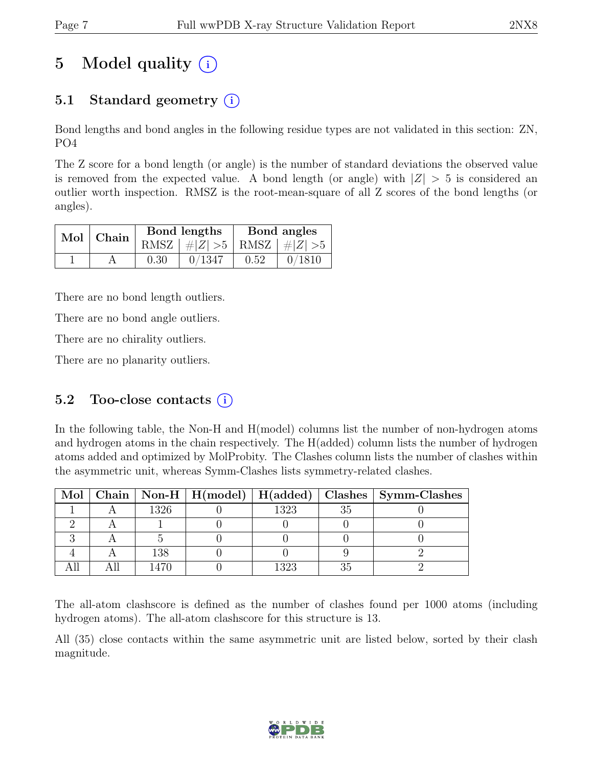# 5 Model quality  $(i)$

# 5.1 Standard geometry  $(i)$

Bond lengths and bond angles in the following residue types are not validated in this section: ZN, PO4

The Z score for a bond length (or angle) is the number of standard deviations the observed value is removed from the expected value. A bond length (or angle) with  $|Z| > 5$  is considered an outlier worth inspection. RMSZ is the root-mean-square of all Z scores of the bond lengths (or angles).

| Mol Chain |      | Bond lengths                    | Bond angles |                |  |
|-----------|------|---------------------------------|-------------|----------------|--|
|           |      | RMSZ $ #Z  > 5$ RMSZ $ #Z  > 5$ |             |                |  |
|           | 0.30 | 0/1347                          | 0.52        | $\vert 0/1810$ |  |

There are no bond length outliers.

There are no bond angle outliers.

There are no chirality outliers.

There are no planarity outliers.

#### 5.2 Too-close contacts  $(i)$

In the following table, the Non-H and H(model) columns list the number of non-hydrogen atoms and hydrogen atoms in the chain respectively. The H(added) column lists the number of hydrogen atoms added and optimized by MolProbity. The Clashes column lists the number of clashes within the asymmetric unit, whereas Symm-Clashes lists symmetry-related clashes.

|  |      |      | Mol   Chain   Non-H   H(model)   H(added)   Clashes   Symm-Clashes |
|--|------|------|--------------------------------------------------------------------|
|  | 1326 | 1323 |                                                                    |
|  |      |      |                                                                    |
|  |      |      |                                                                    |
|  | 138  |      |                                                                    |
|  |      | 1323 |                                                                    |

The all-atom clashscore is defined as the number of clashes found per 1000 atoms (including hydrogen atoms). The all-atom clashscore for this structure is 13.

All (35) close contacts within the same asymmetric unit are listed below, sorted by their clash magnitude.

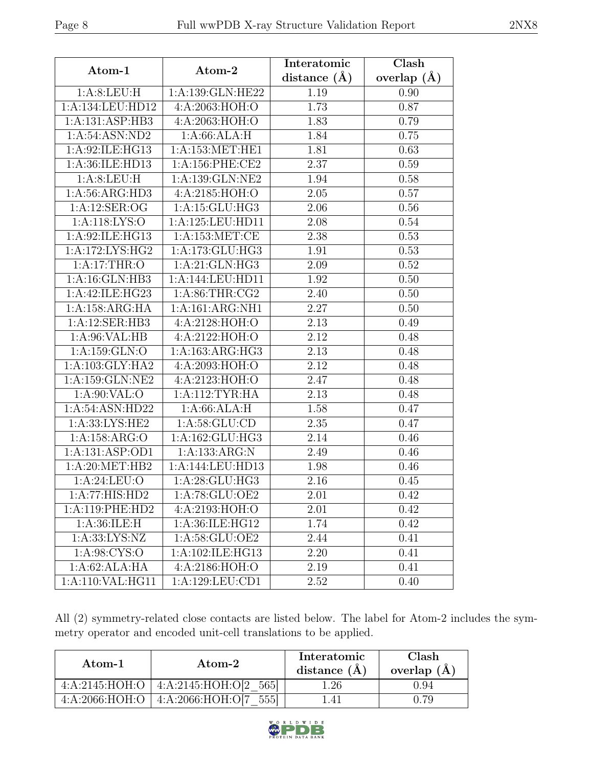| Atom-1             | Atom-2              | Interatomic      | Clash         |
|--------------------|---------------------|------------------|---------------|
|                    |                     | distance $(\AA)$ | overlap $(A)$ |
| 1: A:8: LEU: H     | 1:A:139:GLN:HE22    | 1.19             | 0.90          |
| 1:A:134:LEU:HD12   | 4:A:2063:HOH:O      | 1.73             | 0.87          |
| 1:A:131:ASP:HB3    | 4:A:2063:HOH:O      | 1.83             | 0.79          |
| 1:A:54:ASN:ND2     | 1: A:66: ALA:H      | 1.84             | 0.75          |
| 1: A:92: ILE: HG13 | 1: A: 153: MET: HE1 | 1.81             | 0.63          |
| 1:A:36:ILE:HD13    | 1: A:156: PHE:CE2   | 2.37             | 0.59          |
| 1:A:8:LEU:H        | 1:A:139:GLN:NE2     | 1.94             | 0.58          |
| 1: A:56: ARG:HD3   | 4:A:2185:HOH:O      | 2.05             | 0.57          |
| 1: A:12: SER:OG    | 1:A:15:GLU:HG3      | 2.06             | 0.56          |
| 1: A:118: LYS:O    | 1:A:125:LEU:HD11    | 2.08             | 0.54          |
| 1:A:92:ILE:HG13    | 1:A:153:MET:CE      | 2.38             | 0.53          |
| 1:A:172:LYS:HG2    | 1:A:173:GLU:HG3     | 1.91             | 0.53          |
| 1:A:17:THR:O       | 1: A:21: GLN: HG3   | 2.09             | 0.52          |
| 1:A:16:GLN:HB3     | 1:A:144:LEU:HD11    | 1.92             | 0.50          |
| 1:A:42:ILE:HG23    | 1: A:86:THR:CG2     | 2.40             | 0.50          |
| 1:A:158:ARG:HA     | 1:A:161:ARG:NH1     | 2.27             | 0.50          |
| 1:A:12:SER:HB3     | 4:A:2128:HOH:O      | 2.13             | 0.49          |
| 1: A:96: VAL:HB    | 4:A:2122:HOH:O      | 2.12             | 0.48          |
| 1:A:159:GLN:O      | 1:A:163:ARG:HG3     | 2.13             | 0.48          |
| 1:A:103:GLY:HA2    | 4:A:2093:HOH:O      | 2.12             | 0.48          |
| 1:A:159:GLN:NE2    | 4:A:2123:HOH:O      | 2.47             | 0.48          |
| 1: A:90: VAL:O     | 1:A:112:TYR:HA      | 2.13             | 0.48          |
| 1:A:54:ASN:HD22    | 1: A:66: ALA:H      | 1.58             | 0.47          |
| 1:A:33:LYS:HE2     | 1: A:58: GLU:CD     | 2.35             | 0.47          |
| 1: A: 158: ARG: O  | 1:A:162:GLU:HG3     | 2.14             | 0.46          |
| 1:A:131:ASP:OD1    | 1:A:133:ARG:N       | 2.49             | 0.46          |
| 1: A:20:MET:HB2    | 1:A:144:LEU:HD13    | 1.98             | 0.46          |
| 1: A:24:LEU:O      | 1:A:28:GLU:HG3      | 2.16             | 0.45          |
| 1:A:77:HIS:HD2     | 1:A:78:GLU:OE2      | 2.01             | 0.42          |
| 1:A:119:PHE:HD2    | 4:A:2193:HOH:O      | 2.01             | 0.42          |
| 1: A:36: ILE:H     | 1:A:36:ILE:HG12     | 1.74             | 0.42          |
| 1: A: 33: LYS: NZ  | 1: A:58: GLU:OE2    | 2.44             | 0.41          |
| 1: A:98: CYS:O     | 1:A:102:ILE:HG13    | 2.20             | 0.41          |
| 1:A:62:ALA:HA      | 4:A:2186:HOH:O      | 2.19             | 0.41          |
| 1:A:110:VAL:HG11   | 1:A:129:LEU:CD1     | 2.52             | 0.40          |

All (2) symmetry-related close contacts are listed below. The label for Atom-2 includes the symmetry operator and encoded unit-cell translations to be applied.

| Atom-1           | Atom-2                | Interatomic<br>distance $(A)$ | Clash<br>overlap $(A)$ |
|------------------|-----------------------|-------------------------------|------------------------|
| 4: A:2145: HOH:O | 4:A:2145:HOH:O[2 565] | 1.26                          | 0.94                   |
| 4: A:2066: HOH:O | 4:A:2066:HOH:O[7]     | $\Delta$ l                    |                        |

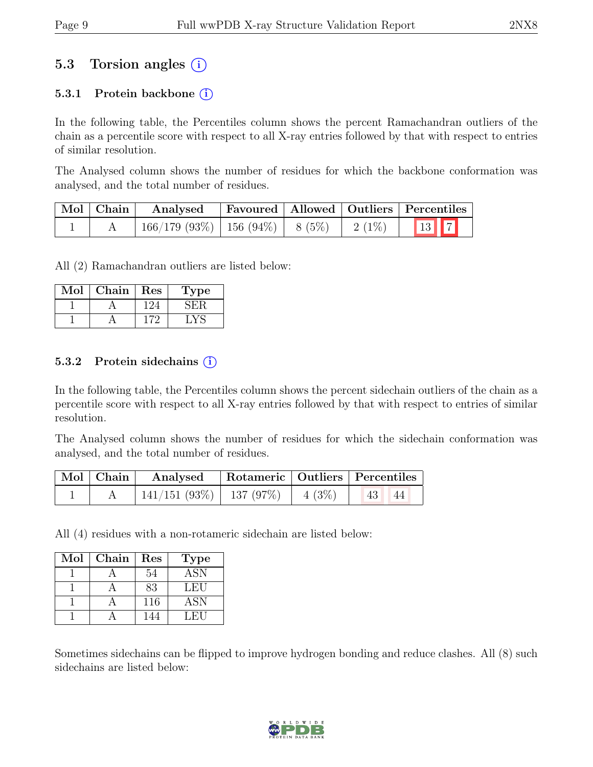## 5.3 Torsion angles (i)

#### 5.3.1 Protein backbone  $(i)$

In the following table, the Percentiles column shows the percent Ramachandran outliers of the chain as a percentile score with respect to all X-ray entries followed by that with respect to entries of similar resolution.

The Analysed column shows the number of residues for which the backbone conformation was analysed, and the total number of residues.

| $\vert$ Mol $\vert$ Chain $\vert$ | Analysed                                |  |          | Favoured   Allowed   Outliers   Percentiles |
|-----------------------------------|-----------------------------------------|--|----------|---------------------------------------------|
|                                   | $166/179$ (93\%)   156 (94\%)   8 (5\%) |  | $2(1\%)$ | <b>13</b> 7                                 |

All (2) Ramachandran outliers are listed below:

| Mol | Chain | $\operatorname{Res}% \left( \mathcal{N}\right) \equiv\operatorname{Res}(\mathcal{N}_{0})\cap\mathcal{N}_{1}$ | Lype |
|-----|-------|--------------------------------------------------------------------------------------------------------------|------|
|     |       |                                                                                                              |      |
|     |       |                                                                                                              |      |

#### 5.3.2 Protein sidechains (i)

In the following table, the Percentiles column shows the percent sidechain outliers of the chain as a percentile score with respect to all X-ray entries followed by that with respect to entries of similar resolution.

The Analysed column shows the number of residues for which the sidechain conformation was analysed, and the total number of residues.

|  |                                    | Mol   Chain   Analysed   Rotameric   Outliers   Percentiles |  |                 |  |
|--|------------------------------------|-------------------------------------------------------------|--|-----------------|--|
|  | 141/151 (93%)   137 (97%)   4 (3%) |                                                             |  | $\Box$ 43<br>44 |  |

All (4) residues with a non-rotameric sidechain are listed below:

| Mol | Chain | Res | Type |
|-----|-------|-----|------|
|     |       | 54  | ASN  |
|     |       | 83  | LEU  |
|     |       | 116 | ASN  |
|     |       |     | LEU  |

Sometimes sidechains can be flipped to improve hydrogen bonding and reduce clashes. All (8) such sidechains are listed below:

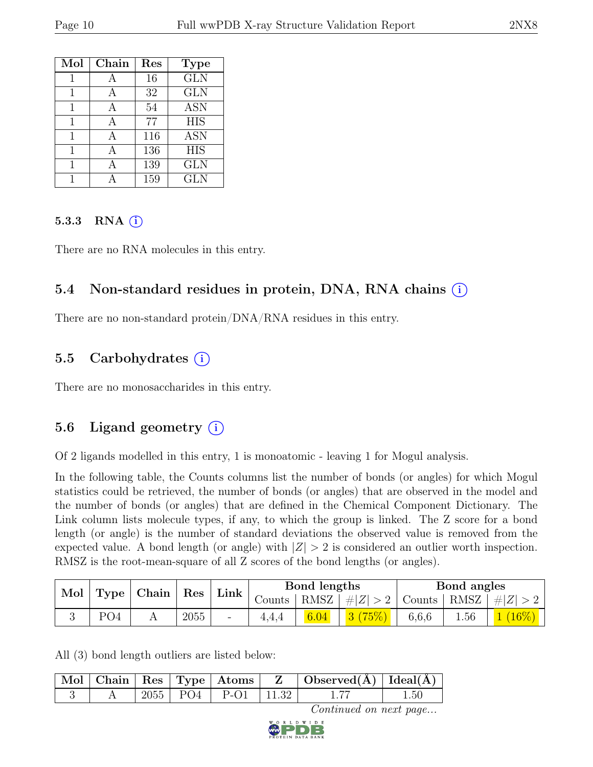| Mol | Chain | Res | <b>Type</b> |
|-----|-------|-----|-------------|
|     |       | 16  | <b>GLN</b>  |
| 1   |       | 32  | <b>GLN</b>  |
| 1   |       | 54  | <b>ASN</b>  |
| 1   |       | 77  | <b>HIS</b>  |
| 1   |       | 116 | <b>ASN</b>  |
| 1   |       | 136 | <b>HIS</b>  |
| 1   |       | 139 | <b>GLN</b>  |
|     |       | 159 | GLN         |

#### 5.3.3 RNA  $(i)$

There are no RNA molecules in this entry.

#### 5.4 Non-standard residues in protein, DNA, RNA chains (i)

There are no non-standard protein/DNA/RNA residues in this entry.

### 5.5 Carbohydrates  $(i)$

There are no monosaccharides in this entry.

### 5.6 Ligand geometry  $(i)$

Of 2 ligands modelled in this entry, 1 is monoatomic - leaving 1 for Mogul analysis.

In the following table, the Counts columns list the number of bonds (or angles) for which Mogul statistics could be retrieved, the number of bonds (or angles) that are observed in the model and the number of bonds (or angles) that are defined in the Chemical Component Dictionary. The Link column lists molecule types, if any, to which the group is linked. The Z score for a bond length (or angle) is the number of standard deviations the observed value is removed from the expected value. A bond length (or angle) with  $|Z| > 2$  is considered an outlier worth inspection. RMSZ is the root-mean-square of all Z scores of the bond lengths (or angles).

| Mol | <b>Type</b>     | $\mid$ Chain | Res  | Link                     |        | Bond lengths |         |               | Bond angles |         |
|-----|-----------------|--------------|------|--------------------------|--------|--------------|---------|---------------|-------------|---------|
|     |                 |              |      |                          | Counts | RMSZ         | #Z  > 2 | Counts   RMSZ |             | $\# Z $ |
|     | PO <sub>4</sub> |              | 2055 | $\overline{\phantom{0}}$ |        | 6.04         |         | 6,6,6         | 1.56        |         |

All (3) bond length outliers are listed below:

|  |  |                             | $\mid$ Mol $\mid$ Chain $\mid$ Res $\mid$ Type $\mid$ Atoms $\mid$ $\mid$ Z $\mid$ Observed(Å) $\mid$ Ideal(Å) $\mid$ |     |
|--|--|-----------------------------|-----------------------------------------------------------------------------------------------------------------------|-----|
|  |  | $2055$   PO4   P-O1   11.32 |                                                                                                                       | .50 |

Continued on next page...

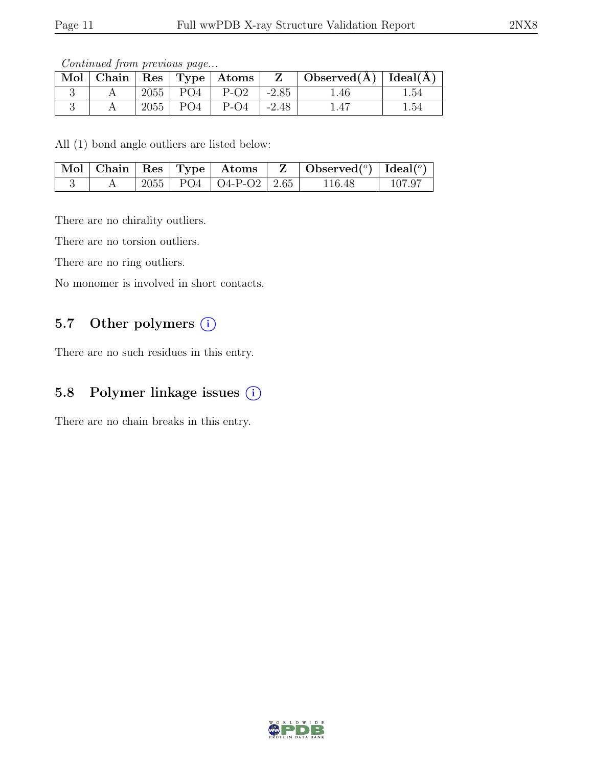Continued from previous page...

| $\operatorname{Mol}$ |      |                | $\vert$ Chain $\vert$ Res $\vert$ Type $\vert$ Atoms |         | $\mid$ Observed( $\AA$ ) $\mid$ Ideal( $\AA$ ) |          |
|----------------------|------|----------------|------------------------------------------------------|---------|------------------------------------------------|----------|
|                      | 2055 | $PO4$   $P-O2$ |                                                      | $-2.85$ | 1.46                                           | 1.54     |
|                      | 2055 | PO4            | $P-O4$                                               | $-2.48$ | 1.47                                           | $1.54\,$ |

All (1) bond angle outliers are listed below:

|  |  |                             | $\mid$ Mol $\mid$ Chain $\mid$ Res $\mid$ Type $\mid$ Atoms $\mid$ Z $\mid$ Observed( $\mid$ ) Ideal( $\mid$ ) |        |
|--|--|-----------------------------|----------------------------------------------------------------------------------------------------------------|--------|
|  |  | 2055   PO4   O4-P-O2   2.65 | 116.48                                                                                                         | 107.97 |

There are no chirality outliers.

There are no torsion outliers.

There are no ring outliers.

No monomer is involved in short contacts.

### 5.7 Other polymers  $(i)$

There are no such residues in this entry.

#### 5.8 Polymer linkage issues (i)

There are no chain breaks in this entry.

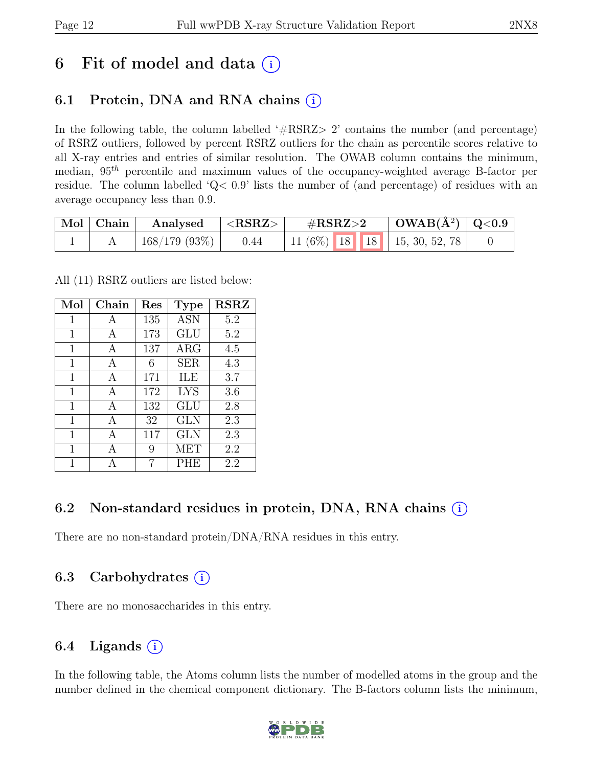# 6 Fit of model and data  $(i)$

# 6.1 Protein, DNA and RNA chains  $(i)$

In the following table, the column labelled  $#RSRZ>2$  contains the number (and percentage) of RSRZ outliers, followed by percent RSRZ outliers for the chain as percentile scores relative to all X-ray entries and entries of similar resolution. The OWAB column contains the minimum, median,  $95<sup>th</sup>$  percentile and maximum values of the occupancy-weighted average B-factor per residue. The column labelled 'Q< 0.9' lists the number of (and percentage) of residues with an average occupancy less than 0.9.

| Mol   Chain | Analysed     | ${ <\bf RSRZ> }$ | $\rm \#RSRZ{>}2$                   | $\vert$ OWAB( $\rm \AA^2)$ $\vert$ Q<0.9 |  |
|-------------|--------------|------------------|------------------------------------|------------------------------------------|--|
|             | 168/179(93%) | 0.44             | 11 (6%)   18   18   15, 30, 52, 78 |                                          |  |

All (11) RSRZ outliers are listed below:

| Mol          | Chain | $\operatorname{Res}% \left( \mathcal{N}\right) \equiv\operatorname{Res}(\mathcal{N}_{0})\cap\mathcal{N}_{1}$ | <b>Type</b> | <b>RSRZ</b> |
|--------------|-------|--------------------------------------------------------------------------------------------------------------|-------------|-------------|
| 1            | A     | 135                                                                                                          | <b>ASN</b>  | 5.2         |
| 1            | A     | 173                                                                                                          | <b>GLU</b>  | 5.2         |
| $\mathbf{1}$ | A     | 137                                                                                                          | $\rm{ARG}$  | 4.5         |
| 1            | А     | 6                                                                                                            | <b>SER</b>  | 4.3         |
| 1            | A     | 171                                                                                                          | ILE         | 3.7         |
| 1            | A     | 172                                                                                                          | <b>LYS</b>  | 3.6         |
| 1            | A     | 132                                                                                                          | GLU         | 2.8         |
| 1            | A     | 32                                                                                                           | <b>GLN</b>  | 2.3         |
| $\mathbf 1$  | А     | 117                                                                                                          | <b>GLN</b>  | 2.3         |
| 1            | A     | 9                                                                                                            | MET         | 2.2         |
| 1            |       |                                                                                                              | PHE         | 2.2         |

### 6.2 Non-standard residues in protein, DNA, RNA chains (i)

There are no non-standard protein/DNA/RNA residues in this entry.

### 6.3 Carbohydrates (i)

There are no monosaccharides in this entry.

### 6.4 Ligands  $(i)$

In the following table, the Atoms column lists the number of modelled atoms in the group and the number defined in the chemical component dictionary. The B-factors column lists the minimum,